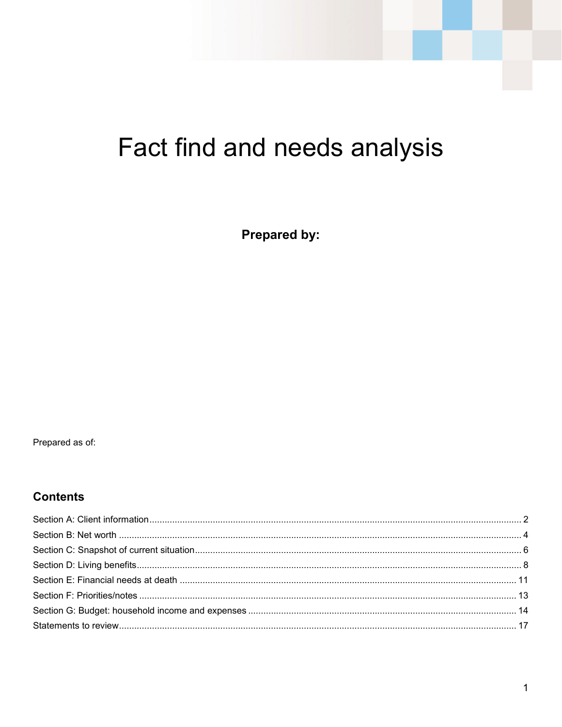# Fact find and needs analysis

**Prepared by:** 

Prepared as of:

#### **Contents**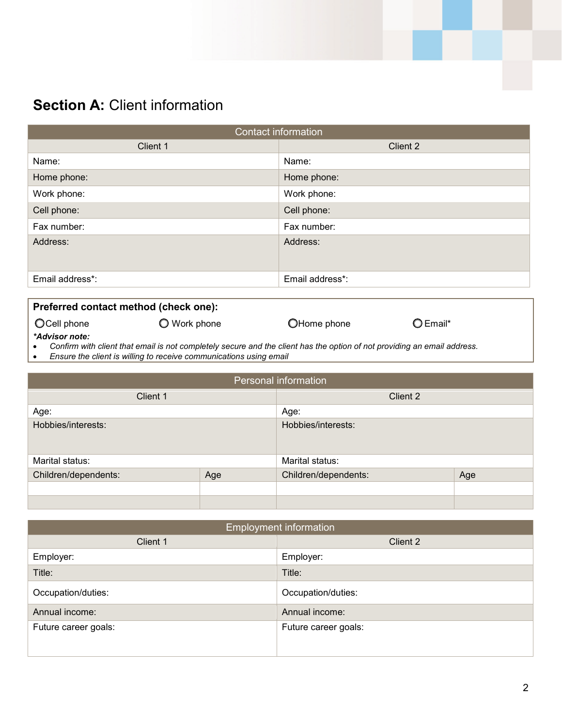# **Section A: Client information**

| <b>Contact information</b> |                 |  |
|----------------------------|-----------------|--|
| Client 1<br>Client 2       |                 |  |
| Name:                      | Name:           |  |
| Home phone:                | Home phone:     |  |
| Work phone:                | Work phone:     |  |
| Cell phone:                | Cell phone:     |  |
| Fax number:                | Fax number:     |  |
| Address:                   | Address:        |  |
| Email address*:            | Email address*: |  |

#### **Preferred contact method (check one):**

Ocell phone  $\bigcirc$  Work phone  $\bigcirc$  Home phone  $\bigcirc$  Email\*

*\*Advisor note:*

• *Confirm with client that email is not completely secure and the client has the option of not providing an email address.*

• *Ensure the client is willing to receive communications using email*

| Personal information |     |                      |     |
|----------------------|-----|----------------------|-----|
| Client 1             |     | Client 2             |     |
| Age:                 |     | Age:                 |     |
| Hobbies/interests:   |     | Hobbies/interests:   |     |
| Marital status:      |     | Marital status:      |     |
| Children/dependents: | Age | Children/dependents: | Age |
|                      |     |                      |     |
|                      |     |                      |     |

| <b>Employment information</b> |                      |  |
|-------------------------------|----------------------|--|
| Client 1                      | Client 2             |  |
| Employer:                     | Employer:            |  |
| Title:                        | Title:               |  |
| Occupation/duties:            | Occupation/duties:   |  |
| Annual income:                | Annual income:       |  |
| Future career goals:          | Future career goals: |  |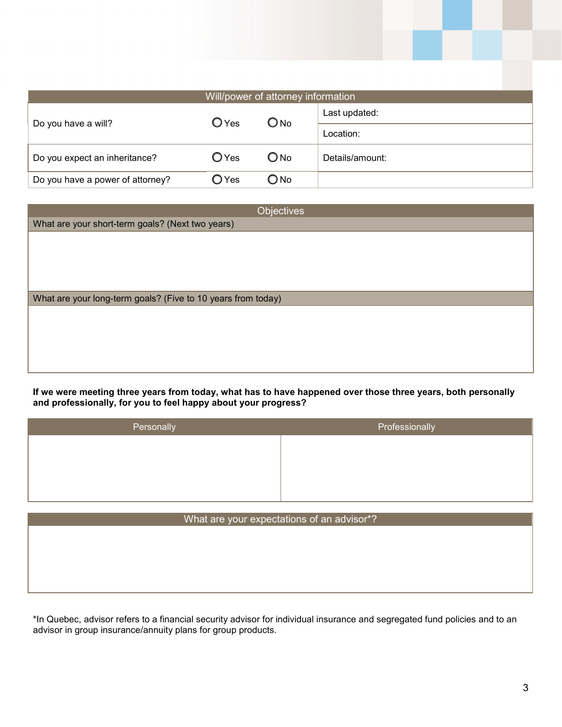| Will/power of attorney information |                |               |                 |
|------------------------------------|----------------|---------------|-----------------|
| Do you have a will?                | $O$ Yes        | $\bigcirc$ No | Last updated:   |
|                                    |                |               | Location:       |
| Do you expect an inheritance?      | $O$ Yes        | $\bigcirc$ No | Details/amount: |
| Do you have a power of attorney?   | $\bigcirc$ Yes | $\bigcirc$ No |                 |

| Objectives                                                   |
|--------------------------------------------------------------|
| What are your short-term goals? (Next two years)             |
|                                                              |
|                                                              |
|                                                              |
|                                                              |
| What are your long-term goals? (Five to 10 years from today) |
|                                                              |
|                                                              |
|                                                              |
|                                                              |
|                                                              |
|                                                              |

**If we were meeting three years from today, what has to have happened over those three years, both personally and professionally, for you to feel happy about your progress?**

| Personally | Professionally |
|------------|----------------|
|            |                |
|            |                |
|            |                |

| What are your expectations of an advisor*? |  |  |
|--------------------------------------------|--|--|
|                                            |  |  |
|                                            |  |  |
|                                            |  |  |
|                                            |  |  |
|                                            |  |  |

\*In Quebec, advisor refers to a financial security advisor for individual insurance and segregated fund policies and to an advisor in group insurance/annuity plans for group products.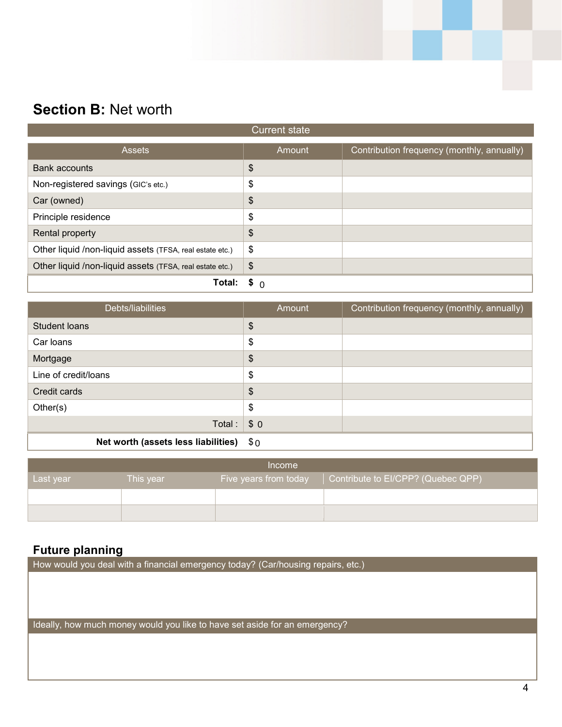# **Section B:** Net worth

| <b>Current state</b>                                     |                            |                                            |
|----------------------------------------------------------|----------------------------|--------------------------------------------|
| <b>Assets</b>                                            | Amount                     | Contribution frequency (monthly, annually) |
| Bank accounts                                            | \$                         |                                            |
| Non-registered savings (GIC's etc.)                      | \$                         |                                            |
| Car (owned)                                              | \$                         |                                            |
| Principle residence                                      | \$                         |                                            |
| Rental property                                          | \$                         |                                            |
| Other liquid /non-liquid assets (TFSA, real estate etc.) | \$                         |                                            |
| Other liquid /non-liquid assets (TFSA, real estate etc.) | $\boldsymbol{\mathcal{S}}$ |                                            |
| Total:                                                   | \$ ∩                       |                                            |

| Debts/liabilities                   | Amount           | Contribution frequency (monthly, annually) |
|-------------------------------------|------------------|--------------------------------------------|
| Student Ioans                       | \$               |                                            |
| Car loans                           | \$               |                                            |
| Mortgage                            | \$               |                                            |
| Line of credit/loans                | \$               |                                            |
| Credit cards                        | \$               |                                            |
| Other(s)                            | \$               |                                            |
| Total:                              | \$0              |                                            |
| Net worth (assets less liabilities) | $\mathfrak{s}_0$ |                                            |

| Income    |           |                       |                                    |
|-----------|-----------|-----------------------|------------------------------------|
| Last year | This year | Five years from today | Contribute to EI/CPP? (Quebec QPP) |
|           |           |                       |                                    |
|           |           |                       |                                    |

#### **Future planning**

How would you deal with a financial emergency today? (Car/housing repairs, etc.)

Ideally, how much money would you like to have set aside for an emergency?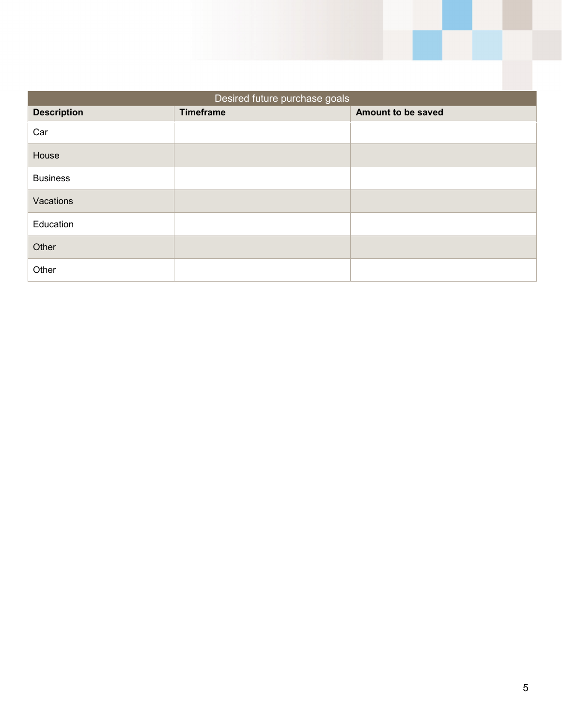| Desired future purchase goals |                  |                    |  |
|-------------------------------|------------------|--------------------|--|
| <b>Description</b>            | <b>Timeframe</b> | Amount to be saved |  |
| Car                           |                  |                    |  |
| House                         |                  |                    |  |
| <b>Business</b>               |                  |                    |  |
| Vacations                     |                  |                    |  |
| Education                     |                  |                    |  |
| Other                         |                  |                    |  |
| Other                         |                  |                    |  |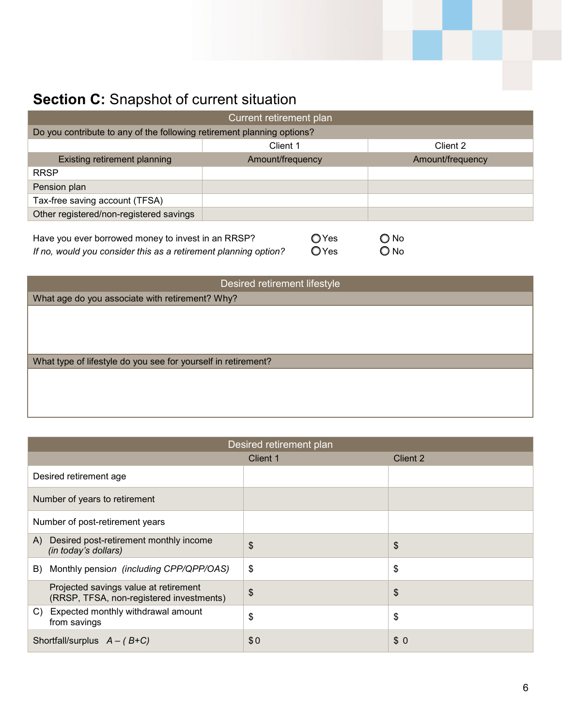# **Section C:** Snapshot of current situation

| <b>Current retirement plan</b>                                                                                        |                         |                       |  |  |  |
|-----------------------------------------------------------------------------------------------------------------------|-------------------------|-----------------------|--|--|--|
| Do you contribute to any of the following retirement planning options?                                                |                         |                       |  |  |  |
|                                                                                                                       | Client 1                | Client 2              |  |  |  |
| Existing retirement planning                                                                                          | Amount/frequency        | Amount/frequency      |  |  |  |
| <b>RRSP</b>                                                                                                           |                         |                       |  |  |  |
| Pension plan                                                                                                          |                         |                       |  |  |  |
| Tax-free saving account (TFSA)                                                                                        |                         |                       |  |  |  |
| Other registered/non-registered savings                                                                               |                         |                       |  |  |  |
| Have you ever borrowed money to invest in an RRSP?<br>If no, would you consider this as a retirement planning option? | $\bigcirc$ Yes<br>○ Yes | $\bigcirc$ No<br>O No |  |  |  |

| Desired retirement lifestyle                                  |  |  |  |
|---------------------------------------------------------------|--|--|--|
| What age do you associate with retirement? Why?               |  |  |  |
|                                                               |  |  |  |
|                                                               |  |  |  |
|                                                               |  |  |  |
| What type of lifestyle do you see for yourself in retirement? |  |  |  |
|                                                               |  |  |  |
|                                                               |  |  |  |
|                                                               |  |  |  |

| Desired retirement plan                                                           |          |                       |  |  |  |
|-----------------------------------------------------------------------------------|----------|-----------------------|--|--|--|
|                                                                                   | Client 1 | Client 2              |  |  |  |
| Desired retirement age                                                            |          |                       |  |  |  |
| Number of years to retirement                                                     |          |                       |  |  |  |
| Number of post-retirement years                                                   |          |                       |  |  |  |
| Desired post-retirement monthly income<br>A)<br>(in today's dollars)              | \$       | $\boldsymbol{\theta}$ |  |  |  |
| Monthly pension (including CPP/QPP/OAS)<br>B)                                     | \$       | \$                    |  |  |  |
| Projected savings value at retirement<br>(RRSP, TFSA, non-registered investments) | \$       | $\frac{1}{2}$         |  |  |  |
| Expected monthly withdrawal amount<br>C)<br>from savings                          | \$       | \$                    |  |  |  |
| Shortfall/surplus $A - (B+C)$                                                     | \$0      | \$0                   |  |  |  |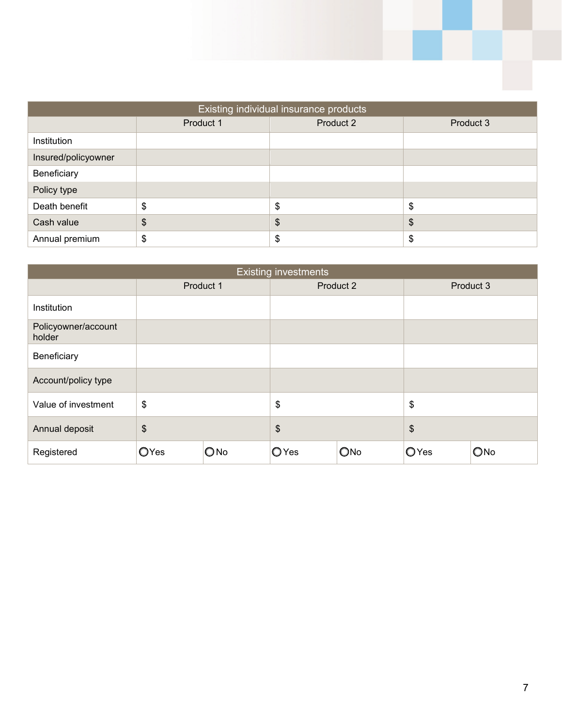| Existing individual insurance products |           |               |                       |  |  |
|----------------------------------------|-----------|---------------|-----------------------|--|--|
|                                        | Product 1 | Product 2     | Product 3             |  |  |
| Institution                            |           |               |                       |  |  |
| Insured/policyowner                    |           |               |                       |  |  |
| Beneficiary                            |           |               |                       |  |  |
| Policy type                            |           |               |                       |  |  |
| Death benefit                          | \$        | \$            | $\boldsymbol{\theta}$ |  |  |
| Cash value                             | \$        | $\frac{1}{2}$ | \$                    |  |  |
| Annual premium                         | \$        | \$            | $\boldsymbol{\theta}$ |  |  |

| <b>Existing investments</b>   |              |           |      |           |                           |           |
|-------------------------------|--------------|-----------|------|-----------|---------------------------|-----------|
|                               |              | Product 1 |      | Product 2 |                           | Product 3 |
| Institution                   |              |           |      |           |                           |           |
| Policyowner/account<br>holder |              |           |      |           |                           |           |
| Beneficiary                   |              |           |      |           |                           |           |
| Account/policy type           |              |           |      |           |                           |           |
| Value of investment           | \$           |           | \$   |           | \$                        |           |
| Annual deposit                | \$           |           | \$   |           | $\boldsymbol{\mathsf{S}}$ |           |
| Registered                    | <b>O</b> Yes | ONO       | OYes | ONo       | OYes                      | ONo       |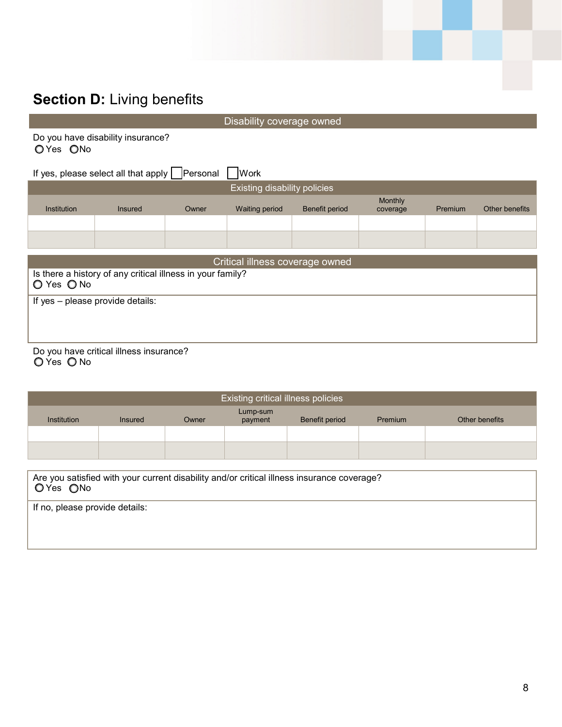## **Section D: Living benefits**

Disability coverage owned

Do you have disability insurance? OYes ONo

If yes, please select all that apply  $\Box$  Personal  $\Box$  Work Existing disability policies Institution Insured Owner Waiting period Benefit period Monthly<br>coverage Premium Other benefits Critical illness coverage owned Is there a history of any critical illness in your family? O Yes O No If yes – please provide details:

Do you have critical illness insurance?

O Yes O No

| Existing critical illness policies                                                                      |                |       |                     |                |         |                |
|---------------------------------------------------------------------------------------------------------|----------------|-------|---------------------|----------------|---------|----------------|
| <b>Institution</b>                                                                                      | <b>Insured</b> | Owner | Lump-sum<br>payment | Benefit period | Premium | Other benefits |
|                                                                                                         |                |       |                     |                |         |                |
|                                                                                                         |                |       |                     |                |         |                |
|                                                                                                         |                |       |                     |                |         |                |
| Are you satisfied with your current disability and/or critical illness insurance coverage?<br>O Yes ONo |                |       |                     |                |         |                |

If no, please provide details: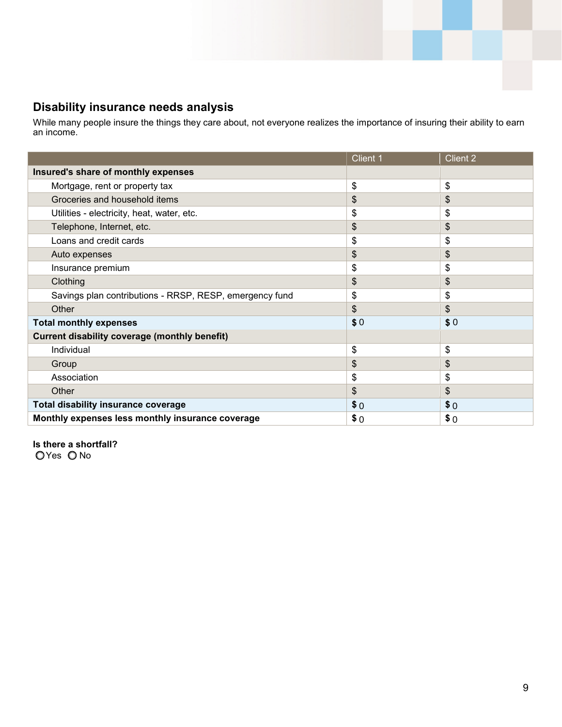#### **Disability insurance needs analysis**

While many people insure the things they care about, not everyone realizes the importance of insuring their ability to earn an income.

|                                                         | Client 1 | Client 2 |
|---------------------------------------------------------|----------|----------|
| Insured's share of monthly expenses                     |          |          |
| Mortgage, rent or property tax                          | \$       | \$       |
| Groceries and household items                           | \$       | \$       |
| Utilities - electricity, heat, water, etc.              | \$       | \$       |
| Telephone, Internet, etc.                               | \$       | \$       |
| Loans and credit cards                                  | \$       | \$       |
| Auto expenses                                           | \$       | \$       |
| Insurance premium                                       | \$       | \$       |
| Clothing                                                | \$       | \$       |
| Savings plan contributions - RRSP, RESP, emergency fund | \$       | \$       |
| Other                                                   | \$       | \$       |
| <b>Total monthly expenses</b>                           | \$0      | \$0      |
| <b>Current disability coverage (monthly benefit)</b>    |          |          |
| Individual                                              | \$       | \$       |
| Group                                                   | \$       | \$       |
| Association                                             | \$       | \$       |
| Other                                                   | \$       | \$       |
| <b>Total disability insurance coverage</b>              | \$0      | \$0      |
| Monthly expenses less monthly insurance coverage        | \$0      | \$0      |

**Is there a shortfall?** OYes ONo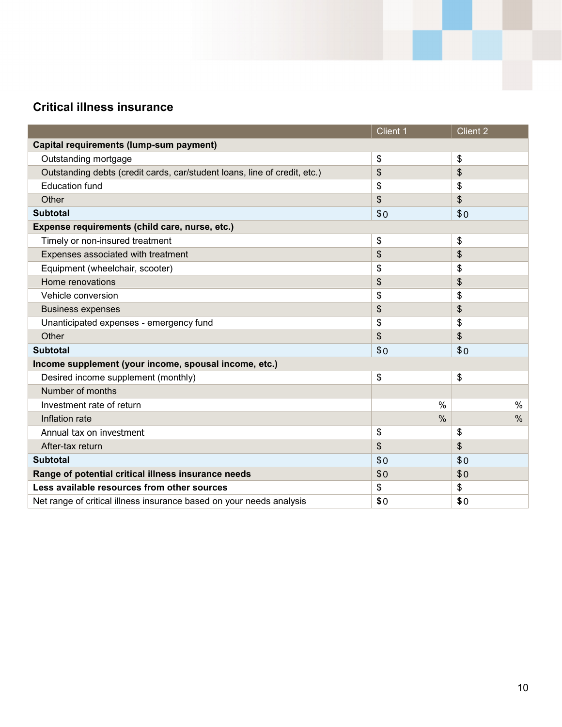### **Critical illness insurance**

|                                                                           | Client 1      | <b>Client 2</b> |
|---------------------------------------------------------------------------|---------------|-----------------|
| Capital requirements (lump-sum payment)                                   |               |                 |
| Outstanding mortgage                                                      | \$            | \$              |
| Outstanding debts (credit cards, car/student loans, line of credit, etc.) | \$            | \$              |
| <b>Education fund</b>                                                     | \$            | \$              |
| Other                                                                     | \$            | \$              |
| <b>Subtotal</b>                                                           | \$0           | \$0             |
| Expense requirements (child care, nurse, etc.)                            |               |                 |
| Timely or non-insured treatment                                           | \$            | \$              |
| Expenses associated with treatment                                        | \$            | \$              |
| Equipment (wheelchair, scooter)                                           | \$            | \$              |
| Home renovations                                                          | \$            | \$              |
| Vehicle conversion                                                        | \$            | \$              |
| <b>Business expenses</b>                                                  | \$            | \$              |
| Unanticipated expenses - emergency fund                                   | \$            | \$              |
| Other                                                                     | \$            | \$              |
| <b>Subtotal</b>                                                           | \$0           | \$0             |
| Income supplement (your income, spousal income, etc.)                     |               |                 |
| Desired income supplement (monthly)                                       | \$            | \$              |
| Number of months                                                          |               |                 |
| Investment rate of return                                                 | $\frac{0}{0}$ | $\%$            |
| Inflation rate                                                            | $\frac{0}{0}$ | $\%$            |
| Annual tax on investment                                                  | \$            | \$              |
| After-tax return                                                          | \$            | \$              |
| <b>Subtotal</b>                                                           | \$0           | \$0             |
| Range of potential critical illness insurance needs                       | \$0           | \$0             |
| Less available resources from other sources                               | \$            | \$              |
| Net range of critical illness insurance based on your needs analysis      | \$0           | \$0             |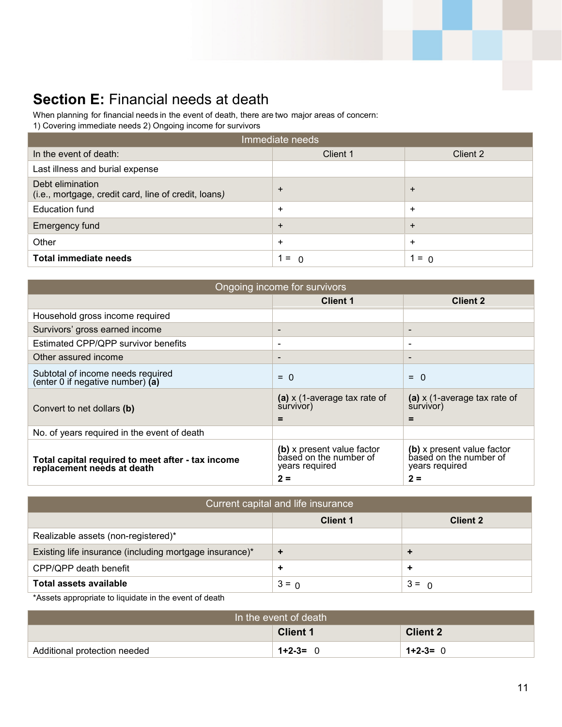# **Section E: Financial needs at death**

When planning for financial needs in the event of death, there are two major areas of concern:

1) Covering immediate needs 2) Ongoing income for survivors

| Immediate needs                                                          |                 |           |  |  |  |
|--------------------------------------------------------------------------|-----------------|-----------|--|--|--|
| In the event of death:                                                   | Client 1        | Client 2  |  |  |  |
| Last illness and burial expense                                          |                 |           |  |  |  |
| Debt elimination<br>(i.e., mortgage, credit card, line of credit, loans) | $\ddot{}$       | $\div$    |  |  |  |
| <b>Education fund</b>                                                    | $\ddot{}$       | $\ddot{}$ |  |  |  |
| Emergency fund                                                           | $\ddot{}$       | $\div$    |  |  |  |
| Other                                                                    | $\ddot{}$       | $\ddot{}$ |  |  |  |
| Total immediate needs                                                    | $=$<br>$\Omega$ | $= 0$     |  |  |  |

| Ongoing income for survivors                                                    |                                                                                 |                                                                                 |  |  |
|---------------------------------------------------------------------------------|---------------------------------------------------------------------------------|---------------------------------------------------------------------------------|--|--|
|                                                                                 | <b>Client 1</b>                                                                 | <b>Client 2</b>                                                                 |  |  |
| Household gross income required                                                 |                                                                                 |                                                                                 |  |  |
| Survivors' gross earned income                                                  | $\qquad \qquad \blacksquare$                                                    | $\overline{\phantom{a}}$                                                        |  |  |
| Estimated CPP/QPP survivor benefits                                             | $\overline{\phantom{a}}$                                                        | $\qquad \qquad$                                                                 |  |  |
| Other assured income                                                            | $\qquad \qquad \blacksquare$                                                    | $\overline{\phantom{a}}$                                                        |  |  |
| Subtotal of income needs required<br>(enter 0 if negative number) (a)           | $= 0$                                                                           | $= 0$                                                                           |  |  |
| Convert to net dollars (b)                                                      | (a) $x$ (1-average tax rate of<br>survivor)<br>$\equiv$                         | (a) $x$ (1-average tax rate of<br>survivor)<br>$=$                              |  |  |
| No. of years required in the event of death                                     |                                                                                 |                                                                                 |  |  |
| Total capital required to meet after - tax income<br>replacement needs at death | (b) x present value factor<br>based on the number of<br>years required<br>$2 =$ | (b) x present value factor<br>based on the number of<br>years required<br>$2 =$ |  |  |

| Current capital and life insurance                      |                 |                 |  |  |  |
|---------------------------------------------------------|-----------------|-----------------|--|--|--|
|                                                         | <b>Client 1</b> | <b>Client 2</b> |  |  |  |
| Realizable assets (non-registered)*                     |                 |                 |  |  |  |
| Existing life insurance (including mortgage insurance)* | ٠               | ÷               |  |  |  |
| CPP/QPP death benefit                                   |                 | $\ddot{}$       |  |  |  |
| Total assets available                                  | $3 = 0$         | $3 = 0$         |  |  |  |

\*Assets appropriate to liquidate in the event of death

| In the event of death        |                 |                 |  |
|------------------------------|-----------------|-----------------|--|
|                              | <b>Client 1</b> | <b>Client 2</b> |  |
| Additional protection needed | $1 + 2 - 3 =$   | $1+2-3=0$       |  |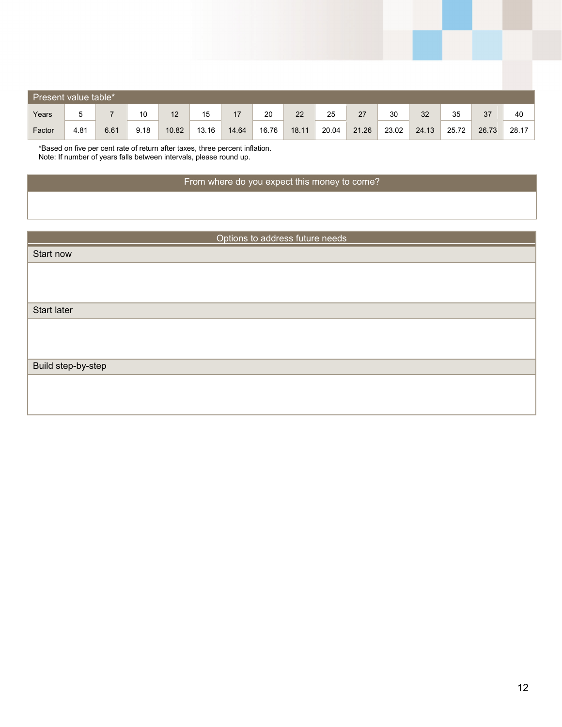| Present value table* |      |      |      |       |       |       |       |       |       |       |       |       |       |       |       |
|----------------------|------|------|------|-------|-------|-------|-------|-------|-------|-------|-------|-------|-------|-------|-------|
| Years                | 5    |      | 10   | 12    | 15    | 17    | 20    | 22    | 25    | 27    | 30    | 32    | 35    | 37    | 40    |
| Factor               | 4.81 | 6.61 | 9.18 | 10.82 | 13.16 | 14.64 | 16.76 | 18.11 | 20.04 | 21.26 | 23.02 | 24.13 | 25.72 | 26.73 | 28.17 |

\*Based on five per cent rate of return after taxes, three percent inflation. Note: If number of years falls between intervals, please round up.

#### From where do you expect this money to come?

| Options to address future needs |  |  |  |  |
|---------------------------------|--|--|--|--|
| Start now                       |  |  |  |  |
|                                 |  |  |  |  |
|                                 |  |  |  |  |
| Start later                     |  |  |  |  |
|                                 |  |  |  |  |
|                                 |  |  |  |  |
|                                 |  |  |  |  |
| Build step-by-step              |  |  |  |  |
|                                 |  |  |  |  |
|                                 |  |  |  |  |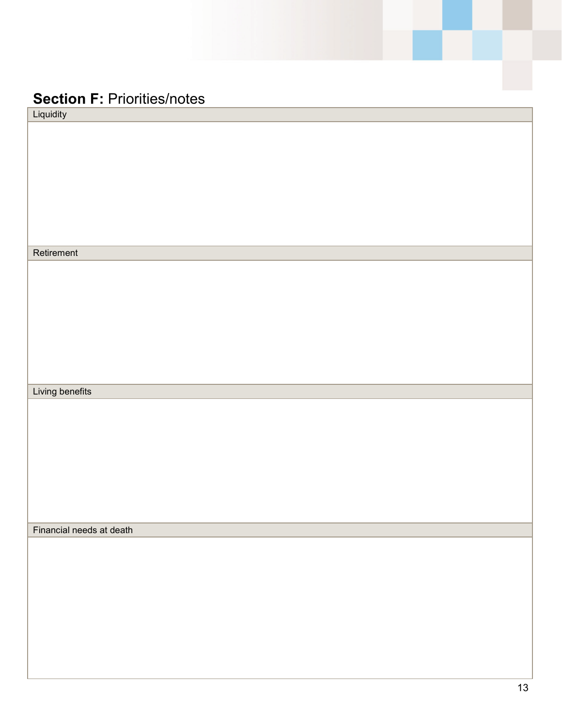## **Section F: Priorities/notes**

| Liquidity                |  |
|--------------------------|--|
|                          |  |
|                          |  |
|                          |  |
|                          |  |
|                          |  |
|                          |  |
|                          |  |
|                          |  |
| Retirement               |  |
|                          |  |
|                          |  |
|                          |  |
|                          |  |
|                          |  |
|                          |  |
|                          |  |
|                          |  |
| Living benefits          |  |
|                          |  |
|                          |  |
|                          |  |
|                          |  |
|                          |  |
|                          |  |
|                          |  |
| Financial needs at death |  |
|                          |  |
|                          |  |
|                          |  |
|                          |  |
|                          |  |
|                          |  |
|                          |  |
|                          |  |
|                          |  |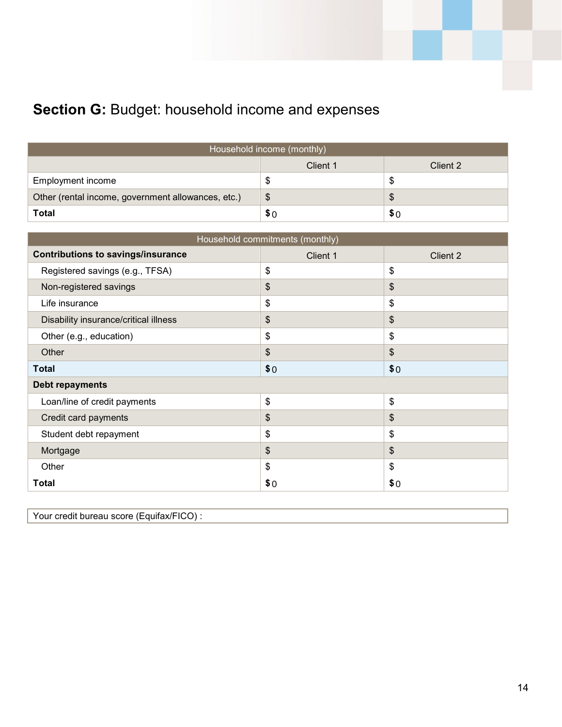# Section G: Budget: household income and expenses

| Household income (monthly)                         |     |    |  |  |  |
|----------------------------------------------------|-----|----|--|--|--|
| Client 1<br>Client 2                               |     |    |  |  |  |
| Employment income                                  | S   | ۰υ |  |  |  |
| Other (rental income, government allowances, etc.) | S   | \$ |  |  |  |
| <b>Total</b>                                       | \$0 |    |  |  |  |

| Household commitments (monthly)           |                           |          |  |  |  |  |  |
|-------------------------------------------|---------------------------|----------|--|--|--|--|--|
| <b>Contributions to savings/insurance</b> | Client 1                  | Client 2 |  |  |  |  |  |
| Registered savings (e.g., TFSA)           | \$                        | \$       |  |  |  |  |  |
| Non-registered savings                    | \$                        | \$       |  |  |  |  |  |
| Life insurance                            | \$                        | \$       |  |  |  |  |  |
| Disability insurance/critical illness     | \$                        | \$       |  |  |  |  |  |
| Other (e.g., education)                   | \$                        | \$       |  |  |  |  |  |
| Other                                     | $\boldsymbol{\mathsf{S}}$ | \$       |  |  |  |  |  |
| <b>Total</b>                              | \$0                       | \$0      |  |  |  |  |  |
| <b>Debt repayments</b>                    |                           |          |  |  |  |  |  |
| Loan/line of credit payments              | \$                        | \$       |  |  |  |  |  |
| Credit card payments                      | \$                        | \$       |  |  |  |  |  |
| Student debt repayment                    | \$                        | \$       |  |  |  |  |  |
| Mortgage                                  | \$                        | \$       |  |  |  |  |  |
| Other                                     | \$                        | \$       |  |  |  |  |  |
| <b>Total</b>                              | \$0                       | \$0      |  |  |  |  |  |

Your credit bureau score (Equifax/FICO) :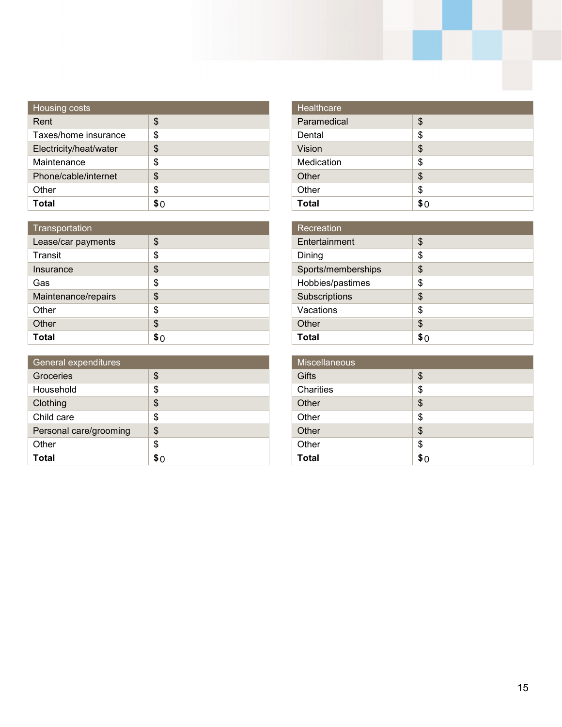| <b>Housing costs</b>   |     |
|------------------------|-----|
| Rent                   | \$  |
| Taxes/home insurance   | S   |
| Electricity/heat/water | \$  |
| Maintenance            | \$  |
| Phone/cable/internet   | \$  |
| Other                  | \$  |
| Total                  | \$∩ |

| Transportation      |    |
|---------------------|----|
| Lease/car payments  | \$ |
| Transit             | \$ |
| Insurance           | \$ |
| Gas                 | \$ |
| Maintenance/repairs | \$ |
| Other               | \$ |
| Other               | \$ |
| Total               |    |

| General expenditures   |    |
|------------------------|----|
| Groceries              | \$ |
| Household              | \$ |
| Clothing               | \$ |
| Child care             | \$ |
| Personal care/grooming | \$ |
| Other                  | \$ |
| Total                  |    |

| Healthcare   |     |
|--------------|-----|
| Paramedical  | \$  |
| Dental       | \$  |
| Vision       | \$  |
| Medication   | \$  |
| Other        | \$  |
| Other        | \$  |
| <b>Total</b> | \$0 |
|              |     |

| Recreation         |    |
|--------------------|----|
| Entertainment      | \$ |
| Dining             | \$ |
| Sports/memberships | \$ |
| Hobbies/pastimes   | \$ |
| Subscriptions      | \$ |
| Vacations          | \$ |
| Other              | \$ |
| Total              | S٢ |

| Miscellaneous |     |
|---------------|-----|
| <b>Gifts</b>  | \$  |
| Charities     | \$  |
| Other         | \$  |
| Other         | \$  |
| Other         | \$  |
| Other         | \$  |
| <b>Total</b>  | \$0 |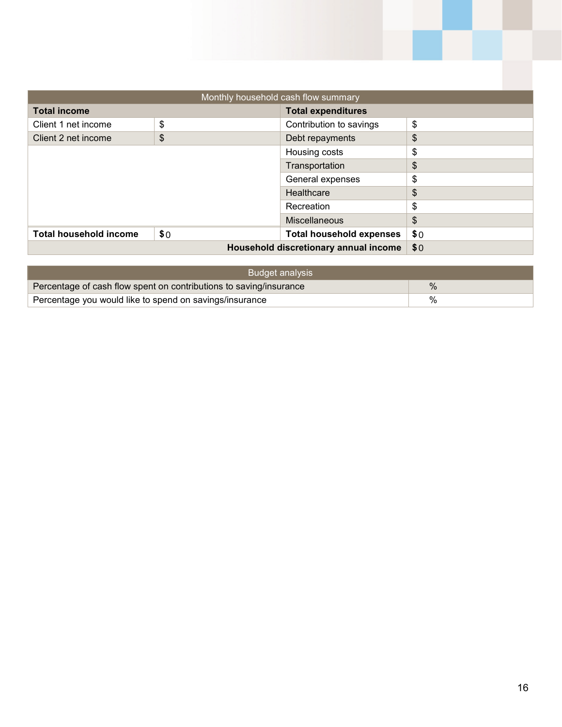| Monthly household cash flow summary |     |                                 |     |  |  |
|-------------------------------------|-----|---------------------------------|-----|--|--|
| <b>Total income</b>                 |     |                                 |     |  |  |
| Client 1 net income                 | \$  | Contribution to savings         | \$  |  |  |
| Client 2 net income                 | \$  | Debt repayments                 | \$  |  |  |
|                                     | \$  |                                 |     |  |  |
|                                     |     | Transportation                  | \$  |  |  |
|                                     |     | General expenses                | \$  |  |  |
|                                     |     | Healthcare                      | \$  |  |  |
|                                     |     | Recreation                      | \$  |  |  |
|                                     |     | Miscellaneous                   | \$  |  |  |
| <b>Total household income</b>       | \$0 | <b>Total household expenses</b> | \$0 |  |  |
|                                     | \$0 |                                 |     |  |  |

| Budget analysis                                                    |      |  |  |
|--------------------------------------------------------------------|------|--|--|
| Percentage of cash flow spent on contributions to saving/insurance | $\%$ |  |  |
| Percentage you would like to spend on savings/insurance            | %    |  |  |